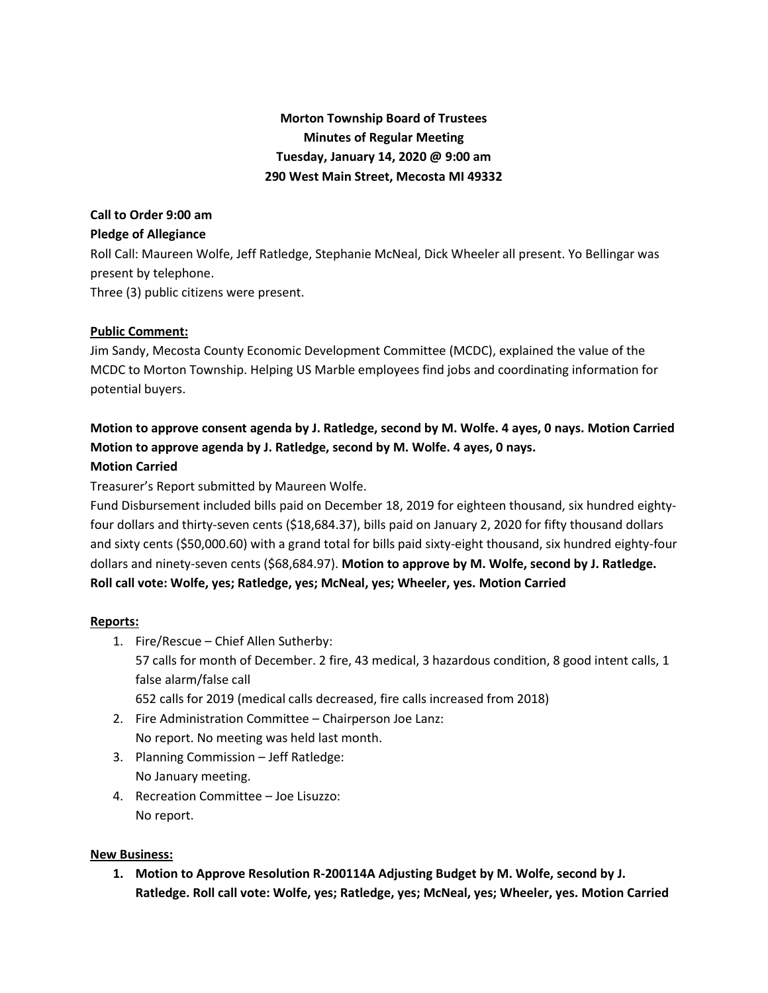# **Morton Township Board of Trustees Minutes of Regular Meeting Tuesday, January 14, 2020 @ 9:00 am 290 West Main Street, Mecosta MI 49332**

## **Call to Order 9:00 am**

#### **Pledge of Allegiance**

Roll Call: Maureen Wolfe, Jeff Ratledge, Stephanie McNeal, Dick Wheeler all present. Yo Bellingar was present by telephone.

Three (3) public citizens were present.

## **Public Comment:**

Jim Sandy, Mecosta County Economic Development Committee (MCDC), explained the value of the MCDC to Morton Township. Helping US Marble employees find jobs and coordinating information for potential buyers.

# **Motion to approve consent agenda by J. Ratledge, second by M. Wolfe. 4 ayes, 0 nays. Motion Carried Motion to approve agenda by J. Ratledge, second by M. Wolfe. 4 ayes, 0 nays. Motion Carried**

Treasurer's Report submitted by Maureen Wolfe.

Fund Disbursement included bills paid on December 18, 2019 for eighteen thousand, six hundred eightyfour dollars and thirty-seven cents (\$18,684.37), bills paid on January 2, 2020 for fifty thousand dollars and sixty cents (\$50,000.60) with a grand total for bills paid sixty-eight thousand, six hundred eighty-four dollars and ninety-seven cents (\$68,684.97). **Motion to approve by M. Wolfe, second by J. Ratledge. Roll call vote: Wolfe, yes; Ratledge, yes; McNeal, yes; Wheeler, yes. Motion Carried**

#### **Reports:**

- 1. Fire/Rescue Chief Allen Sutherby: 57 calls for month of December. 2 fire, 43 medical, 3 hazardous condition, 8 good intent calls, 1 false alarm/false call 652 calls for 2019 (medical calls decreased, fire calls increased from 2018)
- 2. Fire Administration Committee Chairperson Joe Lanz: No report. No meeting was held last month.
- 3. Planning Commission Jeff Ratledge: No January meeting.
- 4. Recreation Committee Joe Lisuzzo: No report.

#### **New Business:**

**1. Motion to Approve Resolution R-200114A Adjusting Budget by M. Wolfe, second by J. Ratledge. Roll call vote: Wolfe, yes; Ratledge, yes; McNeal, yes; Wheeler, yes. Motion Carried**